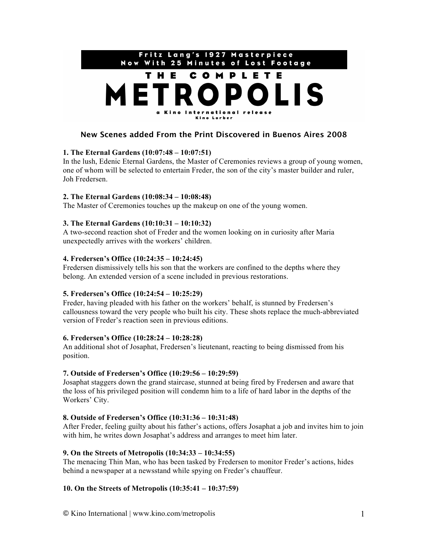

# **New Scenes added From the Print Discovered in Buenos Aires 2008**

## **1. The Eternal Gardens (10:07:48 – 10:07:51)**

In the lush, Edenic Eternal Gardens, the Master of Ceremonies reviews a group of young women, one of whom will be selected to entertain Freder, the son of the city's master builder and ruler, Joh Fredersen.

## **2. The Eternal Gardens (10:08:34 – 10:08:48)**

The Master of Ceremonies touches up the makeup on one of the young women.

## **3. The Eternal Gardens (10:10:31 – 10:10:32)**

A two-second reaction shot of Freder and the women looking on in curiosity after Maria unexpectedly arrives with the workers' children.

## **4. Fredersen's Office (10:24:35 – 10:24:45)**

Fredersen dismissively tells his son that the workers are confined to the depths where they belong. An extended version of a scene included in previous restorations.

## **5. Fredersen's Office (10:24:54 – 10:25:29)**

Freder, having pleaded with his father on the workers' behalf, is stunned by Fredersen's callousness toward the very people who built his city. These shots replace the much-abbreviated version of Freder's reaction seen in previous editions.

## **6. Fredersen's Office (10:28:24 – 10:28:28)**

An additional shot of Josaphat, Fredersen's lieutenant, reacting to being dismissed from his position.

# **7. Outside of Fredersen's Office (10:29:56 – 10:29:59)**

Josaphat staggers down the grand staircase, stunned at being fired by Fredersen and aware that the loss of his privileged position will condemn him to a life of hard labor in the depths of the Workers' City.

## **8. Outside of Fredersen's Office (10:31:36 – 10:31:48)**

After Freder, feeling guilty about his father's actions, offers Josaphat a job and invites him to join with him, he writes down Josaphat's address and arranges to meet him later.

## **9. On the Streets of Metropolis (10:34:33 – 10:34:55)**

The menacing Thin Man, who has been tasked by Fredersen to monitor Freder's actions, hides behind a newspaper at a newsstand while spying on Freder's chauffeur.

# **10. On the Streets of Metropolis (10:35:41 – 10:37:59)**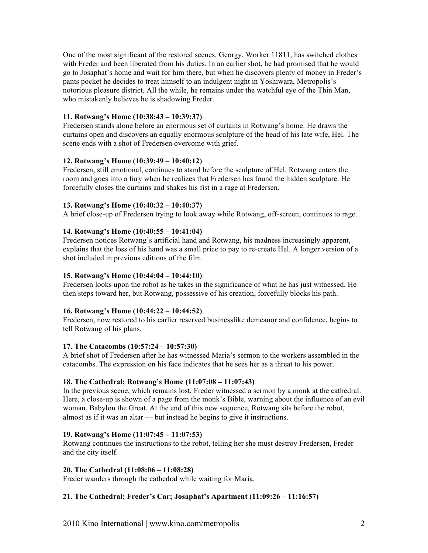One of the most significant of the restored scenes. Georgy, Worker 11811, has switched clothes with Freder and been liberated from his duties. In an earlier shot, he had promised that he would go to Josaphat's home and wait for him there, but when he discovers plenty of money in Freder's pants pocket he decides to treat himself to an indulgent night in Yoshiwara, Metropolis's notorious pleasure district. All the while, he remains under the watchful eye of the Thin Man, who mistakenly believes he is shadowing Freder.

## **11. Rotwang's Home (10:38:43 – 10:39:37)**

Fredersen stands alone before an enormous set of curtains in Rotwang's home. He draws the curtains open and discovers an equally enormous sculpture of the head of his late wife, Hel. The scene ends with a shot of Fredersen overcome with grief.

## **12. Rotwang's Home (10:39:49 – 10:40:12)**

Fredersen, still emotional, continues to stand before the sculpture of Hel. Rotwang enters the room and goes into a fury when he realizes that Fredersen has found the hidden sculpture. He forcefully closes the curtains and shakes his fist in a rage at Fredersen.

## **13. Rotwang's Home (10:40:32 – 10:40:37)**

A brief close-up of Fredersen trying to look away while Rotwang, off-screen, continues to rage.

## **14. Rotwang's Home (10:40:55 – 10:41:04)**

Fredersen notices Rotwang's artificial hand and Rotwang, his madness increasingly apparent, explains that the loss of his hand was a small price to pay to re-create Hel. A longer version of a shot included in previous editions of the film.

# **15. Rotwang's Home (10:44:04 – 10:44:10)**

Fredersen looks upon the robot as he takes in the significance of what he has just witnessed. He then steps toward her, but Rotwang, possessive of his creation, forcefully blocks his path.

# **16. Rotwang's Home (10:44:22 – 10:44:52)**

Fredersen, now restored to his earlier reserved businesslike demeanor and confidence, begins to tell Rotwang of his plans.

# **17. The Catacombs (10:57:24 – 10:57:30)**

A brief shot of Fredersen after he has witnessed Maria's sermon to the workers assembled in the catacombs. The expression on his face indicates that he sees her as a threat to his power.

# **18. The Cathedral; Rotwang's Home (11:07:08 – 11:07:43)**

In the previous scene, which remains lost, Freder witnessed a sermon by a monk at the cathedral. Here, a close-up is shown of a page from the monk's Bible, warning about the influence of an evil woman, Babylon the Great. At the end of this new sequence, Rotwang sits before the robot, almost as if it was an altar — but instead he begins to give it instructions.

## **19. Rotwang's Home (11:07:45 – 11:07:53)**

Rotwang continues the instructions to the robot, telling her she must destroy Fredersen, Freder and the city itself.

# **20. The Cathedral (11:08:06 – 11:08:28)**

Freder wanders through the cathedral while waiting for Maria.

# **21. The Cathedral; Freder's Car; Josaphat's Apartment (11:09:26 – 11:16:57)**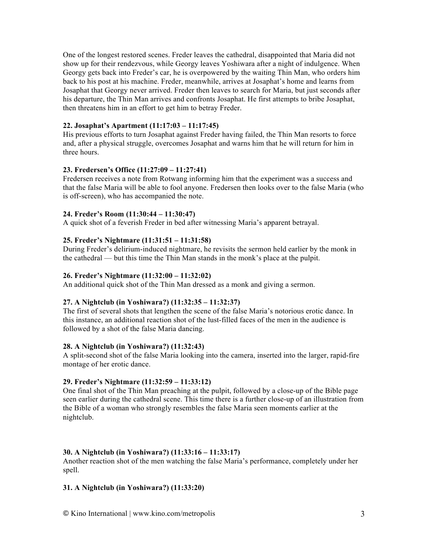One of the longest restored scenes. Freder leaves the cathedral, disappointed that Maria did not show up for their rendezvous, while Georgy leaves Yoshiwara after a night of indulgence. When Georgy gets back into Freder's car, he is overpowered by the waiting Thin Man, who orders him back to his post at his machine. Freder, meanwhile, arrives at Josaphat's home and learns from Josaphat that Georgy never arrived. Freder then leaves to search for Maria, but just seconds after his departure, the Thin Man arrives and confronts Josaphat. He first attempts to bribe Josaphat, then threatens him in an effort to get him to betray Freder.

## **22. Josaphat's Apartment (11:17:03 – 11:17:45)**

His previous efforts to turn Josaphat against Freder having failed, the Thin Man resorts to force and, after a physical struggle, overcomes Josaphat and warns him that he will return for him in three hours.

## **23. Fredersen's Office (11:27:09 – 11:27:41)**

Fredersen receives a note from Rotwang informing him that the experiment was a success and that the false Maria will be able to fool anyone. Fredersen then looks over to the false Maria (who is off-screen), who has accompanied the note.

## **24. Freder's Room (11:30:44 – 11:30:47)**

A quick shot of a feverish Freder in bed after witnessing Maria's apparent betrayal.

## **25. Freder's Nightmare (11:31:51 – 11:31:58)**

During Freder's delirium-induced nightmare, he revisits the sermon held earlier by the monk in the cathedral — but this time the Thin Man stands in the monk's place at the pulpit.

## **26. Freder's Nightmare (11:32:00 – 11:32:02)**

An additional quick shot of the Thin Man dressed as a monk and giving a sermon.

## **27. A Nightclub (in Yoshiwara?) (11:32:35 – 11:32:37)**

The first of several shots that lengthen the scene of the false Maria's notorious erotic dance. In this instance, an additional reaction shot of the lust-filled faces of the men in the audience is followed by a shot of the false Maria dancing.

## **28. A Nightclub (in Yoshiwara?) (11:32:43)**

A split-second shot of the false Maria looking into the camera, inserted into the larger, rapid-fire montage of her erotic dance.

## **29. Freder's Nightmare (11:32:59 – 11:33:12)**

One final shot of the Thin Man preaching at the pulpit, followed by a close-up of the Bible page seen earlier during the cathedral scene. This time there is a further close-up of an illustration from the Bible of a woman who strongly resembles the false Maria seen moments earlier at the nightclub.

## **30. A Nightclub (in Yoshiwara?) (11:33:16 – 11:33:17)**

Another reaction shot of the men watching the false Maria's performance, completely under her spell.

## **31. A Nightclub (in Yoshiwara?) (11:33:20)**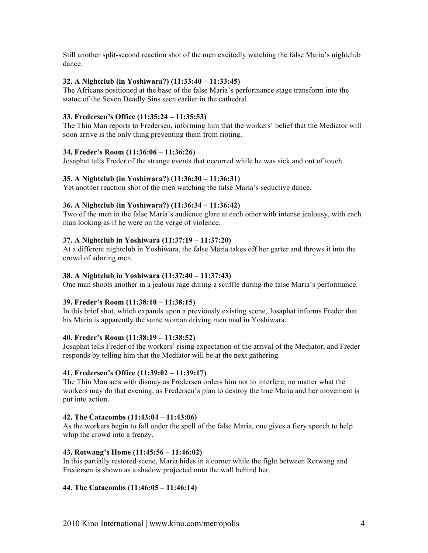Still another split-second reaction shot of the men excitedly watching the false Maria's nightclub dance.

## **32. A Nightclub (in Yoshiwara?) (11:33:40 – 11:33:45)**

The Africans positioned at the base of the false Maria's performance stage transform into the statue of the Seven Deadly Sins seen earlier in the cathedral.

## **33. Fredersen's Office (11:35:24 – 11:35:53)**

The Thin Man reports to Fredersen, informing him that the workers' belief that the Mediator will soon arrive is the only thing preventing them from rioting.

## **34. Freder's Room (11:36:06 – 11:36:26)**

Josaphat tells Freder of the strange events that occurred while he was sick and out of touch.

## **35. A Nightclub (in Yoshiwara?) (11:36:30 – 11:36:31)**

Yet another reaction shot of the men watching the false Maria's seductive dance.

## **36. A Nightclub (in Yoshiwara?) (11:36:34 – 11:36:42)**

Two of the men in the false Maria's audience glare at each other with intense jealousy, with each man looking as if he were on the verge of violence.

## **37. A Nightclub in Yoshiwara (11:37:19 – 11:37:20)**

At a different nightclub in Yoshiwara, the false Maria takes off her garter and throws it into the crowd of adoring men.

## **38. A Nightclub in Yoshiwara (11:37:40 – 11:37:43)**

One man shoots another in a jealous rage during a scuffle during the false Maria's performance.

## **39. Freder's Room (11:38:10 – 11:38:15)**

In this brief shot, which expands upon a previously existing scene, Josaphat informs Freder that his Maria is apparently the same woman driving men mad in Yoshiwara.

## **40. Freder's Room (11:38:19 – 11:38:52)**

Josaphat tells Freder of the workers' rising expectation of the arrival of the Mediator, and Freder responds by telling him that the Mediator will be at the next gathering.

## **41. Fredersen's Office (11:39:02 – 11:39:17)**

The Thin Man acts with dismay as Fredersen orders him not to interfere, no matter what the workers may do that evening, as Fredersen's plan to destroy the true Maria and her movement is put into action.

## **42. The Catacombs (11:43:04 – 11:43:06)**

As the workers begin to fall under the spell of the false Maria, one gives a fiery speech to help whip the crowd into a frenzy.

## **43. Rotwang's Home (11:45:56 – 11:46:02)**

In this partially restored scene, Maria hides in a corner while the fight between Rotwang and Fredersen is shown as a shadow projected onto the wall behind her.

# **44. The Catacombs (11:46:05 – 11:46:14)**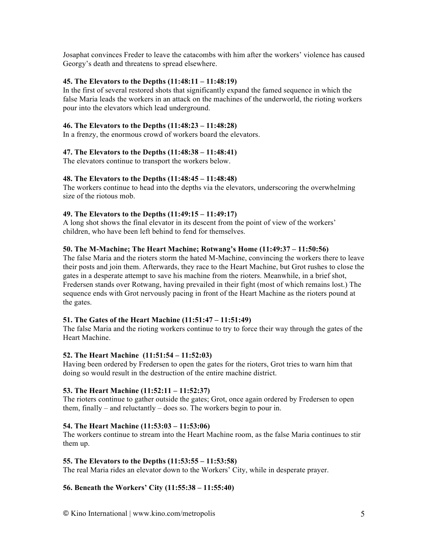Josaphat convinces Freder to leave the catacombs with him after the workers' violence has caused Georgy's death and threatens to spread elsewhere.

#### **45. The Elevators to the Depths (11:48:11 – 11:48:19)**

In the first of several restored shots that significantly expand the famed sequence in which the false Maria leads the workers in an attack on the machines of the underworld, the rioting workers pour into the elevators which lead underground.

#### **46. The Elevators to the Depths (11:48:23 – 11:48:28)**

In a frenzy, the enormous crowd of workers board the elevators.

#### **47. The Elevators to the Depths (11:48:38 – 11:48:41)**

The elevators continue to transport the workers below.

#### **48. The Elevators to the Depths (11:48:45 – 11:48:48)**

The workers continue to head into the depths via the elevators, underscoring the overwhelming size of the riotous mob.

#### **49. The Elevators to the Depths (11:49:15 – 11:49:17)**

A long shot shows the final elevator in its descent from the point of view of the workers' children, who have been left behind to fend for themselves.

### **50. The M-Machine; The Heart Machine; Rotwang's Home (11:49:37 – 11:50:56)**

The false Maria and the rioters storm the hated M-Machine, convincing the workers there to leave their posts and join them. Afterwards, they race to the Heart Machine, but Grot rushes to close the gates in a desperate attempt to save his machine from the rioters. Meanwhile, in a brief shot, Fredersen stands over Rotwang, having prevailed in their fight (most of which remains lost.) The sequence ends with Grot nervously pacing in front of the Heart Machine as the rioters pound at the gates.

## **51. The Gates of the Heart Machine (11:51:47 – 11:51:49)**

The false Maria and the rioting workers continue to try to force their way through the gates of the Heart Machine.

#### **52. The Heart Machine (11:51:54 – 11:52:03)**

Having been ordered by Fredersen to open the gates for the rioters, Grot tries to warn him that doing so would result in the destruction of the entire machine district.

#### **53. The Heart Machine (11:52:11 – 11:52:37)**

The rioters continue to gather outside the gates; Grot, once again ordered by Fredersen to open them, finally – and reluctantly – does so. The workers begin to pour in.

#### **54. The Heart Machine (11:53:03 – 11:53:06)**

The workers continue to stream into the Heart Machine room, as the false Maria continues to stir them up.

#### **55. The Elevators to the Depths (11:53:55 – 11:53:58)**

The real Maria rides an elevator down to the Workers' City, while in desperate prayer.

## **56. Beneath the Workers' City (11:55:38 – 11:55:40)**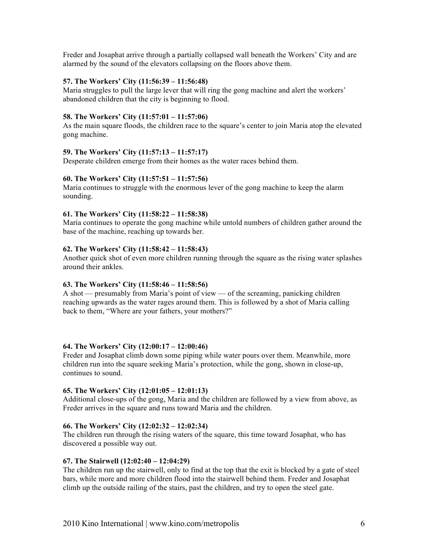Freder and Josaphat arrive through a partially collapsed wall beneath the Workers' City and are alarmed by the sound of the elevators collapsing on the floors above them.

#### **57. The Workers' City (11:56:39 – 11:56:48)**

Maria struggles to pull the large lever that will ring the gong machine and alert the workers' abandoned children that the city is beginning to flood.

## **58. The Workers' City (11:57:01 – 11:57:06)**

As the main square floods, the children race to the square's center to join Maria atop the elevated gong machine.

#### **59. The Workers' City (11:57:13 – 11:57:17)**

Desperate children emerge from their homes as the water races behind them.

#### **60. The Workers' City (11:57:51 – 11:57:56)**

Maria continues to struggle with the enormous lever of the gong machine to keep the alarm sounding.

#### **61. The Workers' City (11:58:22 – 11:58:38)**

Maria continues to operate the gong machine while untold numbers of children gather around the base of the machine, reaching up towards her.

#### **62. The Workers' City (11:58:42 – 11:58:43)**

Another quick shot of even more children running through the square as the rising water splashes around their ankles.

## **63. The Workers' City (11:58:46 – 11:58:56)**

A shot — presumably from Maria's point of view — of the screaming, panicking children reaching upwards as the water rages around them. This is followed by a shot of Maria calling back to them, "Where are your fathers, your mothers?"

#### **64. The Workers' City (12:00:17 – 12:00:46)**

Freder and Josaphat climb down some piping while water pours over them. Meanwhile, more children run into the square seeking Maria's protection, while the gong, shown in close-up, continues to sound.

#### **65. The Workers' City (12:01:05 – 12:01:13)**

Additional close-ups of the gong, Maria and the children are followed by a view from above, as Freder arrives in the square and runs toward Maria and the children.

### **66. The Workers' City (12:02:32 – 12:02:34)**

The children run through the rising waters of the square, this time toward Josaphat, who has discovered a possible way out.

#### **67. The Stairwell (12:02:40 – 12:04:29)**

The children run up the stairwell, only to find at the top that the exit is blocked by a gate of steel bars, while more and more children flood into the stairwell behind them. Freder and Josaphat climb up the outside railing of the stairs, past the children, and try to open the steel gate.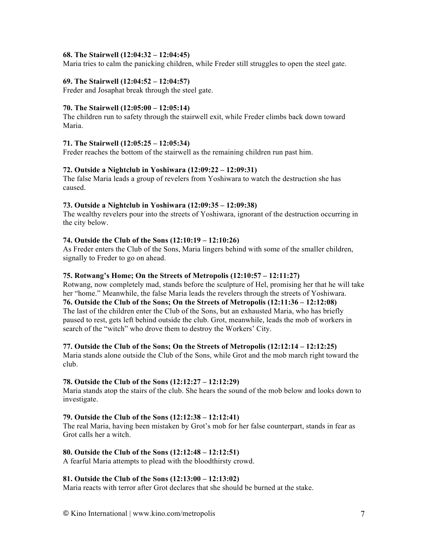## **68. The Stairwell (12:04:32 – 12:04:45)**

Maria tries to calm the panicking children, while Freder still struggles to open the steel gate.

# **69. The Stairwell (12:04:52 – 12:04:57)**

Freder and Josaphat break through the steel gate.

## **70. The Stairwell (12:05:00 – 12:05:14)**

The children run to safety through the stairwell exit, while Freder climbs back down toward Maria.

## **71. The Stairwell (12:05:25 – 12:05:34)**

Freder reaches the bottom of the stairwell as the remaining children run past him.

#### **72. Outside a Nightclub in Yoshiwara (12:09:22 – 12:09:31)**

The false Maria leads a group of revelers from Yoshiwara to watch the destruction she has caused.

#### **73. Outside a Nightclub in Yoshiwara (12:09:35 – 12:09:38)**

The wealthy revelers pour into the streets of Yoshiwara, ignorant of the destruction occurring in the city below.

#### **74. Outside the Club of the Sons (12:10:19 – 12:10:26)**

As Freder enters the Club of the Sons, Maria lingers behind with some of the smaller children, signally to Freder to go on ahead.

#### **75. Rotwang's Home; On the Streets of Metropolis (12:10:57 – 12:11:27)**

Rotwang, now completely mad, stands before the sculpture of Hel, promising her that he will take her "home." Meanwhile, the false Maria leads the revelers through the streets of Yoshiwara. **76. Outside the Club of the Sons; On the Streets of Metropolis (12:11:36 – 12:12:08)** The last of the children enter the Club of the Sons, but an exhausted Maria, who has briefly paused to rest, gets left behind outside the club. Grot, meanwhile, leads the mob of workers in search of the "witch" who drove them to destroy the Workers' City.

#### **77. Outside the Club of the Sons; On the Streets of Metropolis (12:12:14 – 12:12:25)**

Maria stands alone outside the Club of the Sons, while Grot and the mob march right toward the club.

## **78. Outside the Club of the Sons (12:12:27 – 12:12:29)**

Maria stands atop the stairs of the club. She hears the sound of the mob below and looks down to investigate.

## **79. Outside the Club of the Sons (12:12:38 – 12:12:41)**

The real Maria, having been mistaken by Grot's mob for her false counterpart, stands in fear as Grot calls her a witch.

## **80. Outside the Club of the Sons (12:12:48 – 12:12:51)**

A fearful Maria attempts to plead with the bloodthirsty crowd.

## **81. Outside the Club of the Sons (12:13:00 – 12:13:02)**

Maria reacts with terror after Grot declares that she should be burned at the stake.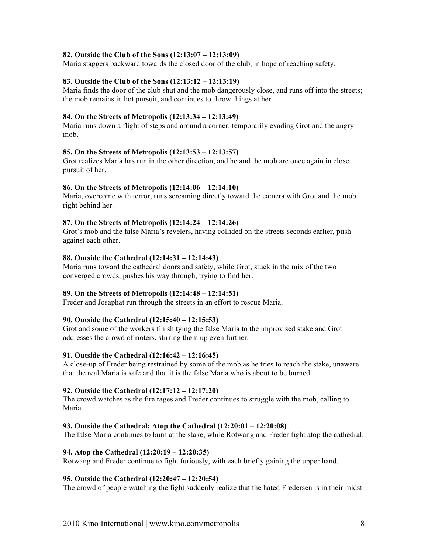### **82. Outside the Club of the Sons (12:13:07 – 12:13:09)**

Maria staggers backward towards the closed door of the club, in hope of reaching safety.

#### **83. Outside the Club of the Sons (12:13:12 – 12:13:19)**

Maria finds the door of the club shut and the mob dangerously close, and runs off into the streets; the mob remains in hot pursuit, and continues to throw things at her.

#### **84. On the Streets of Metropolis (12:13:34 – 12:13:49)**

Maria runs down a flight of steps and around a corner, temporarily evading Grot and the angry mob.

#### **85. On the Streets of Metropolis (12:13:53 – 12:13:57)**

Grot realizes Maria has run in the other direction, and he and the mob are once again in close pursuit of her.

#### **86. On the Streets of Metropolis (12:14:06 – 12:14:10)**

Maria, overcome with terror, runs screaming directly toward the camera with Grot and the mob right behind her.

### **87. On the Streets of Metropolis (12:14:24 – 12:14:26)**

Grot's mob and the false Maria's revelers, having collided on the streets seconds earlier, push against each other.

#### **88. Outside the Cathedral (12:14:31 – 12:14:43)**

Maria runs toward the cathedral doors and safety, while Grot, stuck in the mix of the two converged crowds, pushes his way through, trying to find her.

#### **89. On the Streets of Metropolis (12:14:48 – 12:14:51)**

Freder and Josaphat run through the streets in an effort to rescue Maria.

#### **90. Outside the Cathedral (12:15:40 – 12:15:53)**

Grot and some of the workers finish tying the false Maria to the improvised stake and Grot addresses the crowd of rioters, stirring them up even further.

#### **91. Outside the Cathedral (12:16:42 – 12:16:45)**

A close-up of Freder being restrained by some of the mob as he tries to reach the stake, unaware that the real Maria is safe and that it is the false Maria who is about to be burned.

#### **92. Outside the Cathedral (12:17:12 – 12:17:20)**

The crowd watches as the fire rages and Freder continues to struggle with the mob, calling to Maria.

#### **93. Outside the Cathedral; Atop the Cathedral (12:20:01 – 12:20:08)**

The false Maria continues to burn at the stake, while Rotwang and Freder fight atop the cathedral.

#### **94. Atop the Cathedral (12:20:19 – 12:20:35)**

Rotwang and Freder continue to fight furiously, with each briefly gaining the upper hand.

#### **95. Outside the Cathedral (12:20:47 – 12:20:54)**

The crowd of people watching the fight suddenly realize that the hated Fredersen is in their midst.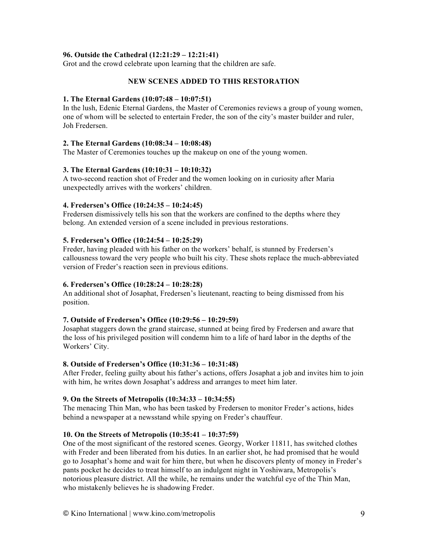## **96. Outside the Cathedral (12:21:29 – 12:21:41)**

Grot and the crowd celebrate upon learning that the children are safe.

## **NEW SCENES ADDED TO THIS RESTORATION**

#### **1. The Eternal Gardens (10:07:48 – 10:07:51)**

In the lush, Edenic Eternal Gardens, the Master of Ceremonies reviews a group of young women, one of whom will be selected to entertain Freder, the son of the city's master builder and ruler, Joh Fredersen.

## **2. The Eternal Gardens (10:08:34 – 10:08:48)**

The Master of Ceremonies touches up the makeup on one of the young women.

## **3. The Eternal Gardens (10:10:31 – 10:10:32)**

A two-second reaction shot of Freder and the women looking on in curiosity after Maria unexpectedly arrives with the workers' children.

#### **4. Fredersen's Office (10:24:35 – 10:24:45)**

Fredersen dismissively tells his son that the workers are confined to the depths where they belong. An extended version of a scene included in previous restorations.

#### **5. Fredersen's Office (10:24:54 – 10:25:29)**

Freder, having pleaded with his father on the workers' behalf, is stunned by Fredersen's callousness toward the very people who built his city. These shots replace the much-abbreviated version of Freder's reaction seen in previous editions.

## **6. Fredersen's Office (10:28:24 – 10:28:28)**

An additional shot of Josaphat, Fredersen's lieutenant, reacting to being dismissed from his position.

#### **7. Outside of Fredersen's Office (10:29:56 – 10:29:59)**

Josaphat staggers down the grand staircase, stunned at being fired by Fredersen and aware that the loss of his privileged position will condemn him to a life of hard labor in the depths of the Workers' City.

#### **8. Outside of Fredersen's Office (10:31:36 – 10:31:48)**

After Freder, feeling guilty about his father's actions, offers Josaphat a job and invites him to join with him, he writes down Josaphat's address and arranges to meet him later.

## **9. On the Streets of Metropolis (10:34:33 – 10:34:55)**

The menacing Thin Man, who has been tasked by Fredersen to monitor Freder's actions, hides behind a newspaper at a newsstand while spying on Freder's chauffeur.

#### **10. On the Streets of Metropolis (10:35:41 – 10:37:59)**

One of the most significant of the restored scenes. Georgy, Worker 11811, has switched clothes with Freder and been liberated from his duties. In an earlier shot, he had promised that he would go to Josaphat's home and wait for him there, but when he discovers plenty of money in Freder's pants pocket he decides to treat himself to an indulgent night in Yoshiwara, Metropolis's notorious pleasure district. All the while, he remains under the watchful eye of the Thin Man, who mistakenly believes he is shadowing Freder.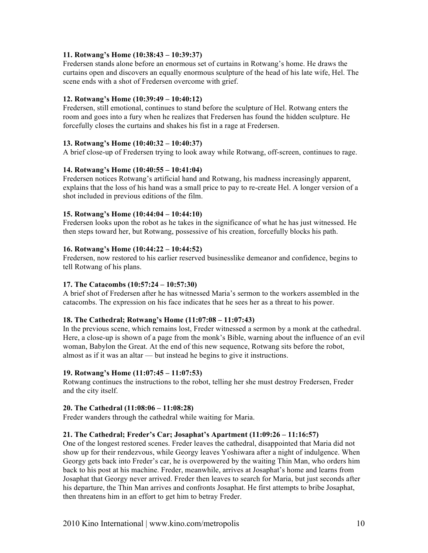## **11. Rotwang's Home (10:38:43 – 10:39:37)**

Fredersen stands alone before an enormous set of curtains in Rotwang's home. He draws the curtains open and discovers an equally enormous sculpture of the head of his late wife, Hel. The scene ends with a shot of Fredersen overcome with grief.

## **12. Rotwang's Home (10:39:49 – 10:40:12)**

Fredersen, still emotional, continues to stand before the sculpture of Hel. Rotwang enters the room and goes into a fury when he realizes that Fredersen has found the hidden sculpture. He forcefully closes the curtains and shakes his fist in a rage at Fredersen.

## **13. Rotwang's Home (10:40:32 – 10:40:37)**

A brief close-up of Fredersen trying to look away while Rotwang, off-screen, continues to rage.

## **14. Rotwang's Home (10:40:55 – 10:41:04)**

Fredersen notices Rotwang's artificial hand and Rotwang, his madness increasingly apparent, explains that the loss of his hand was a small price to pay to re-create Hel. A longer version of a shot included in previous editions of the film.

## **15. Rotwang's Home (10:44:04 – 10:44:10)**

Fredersen looks upon the robot as he takes in the significance of what he has just witnessed. He then steps toward her, but Rotwang, possessive of his creation, forcefully blocks his path.

## **16. Rotwang's Home (10:44:22 – 10:44:52)**

Fredersen, now restored to his earlier reserved businesslike demeanor and confidence, begins to tell Rotwang of his plans.

# **17. The Catacombs (10:57:24 – 10:57:30)**

A brief shot of Fredersen after he has witnessed Maria's sermon to the workers assembled in the catacombs. The expression on his face indicates that he sees her as a threat to his power.

## **18. The Cathedral; Rotwang's Home (11:07:08 – 11:07:43)**

In the previous scene, which remains lost, Freder witnessed a sermon by a monk at the cathedral. Here, a close-up is shown of a page from the monk's Bible, warning about the influence of an evil woman, Babylon the Great. At the end of this new sequence, Rotwang sits before the robot, almost as if it was an altar — but instead he begins to give it instructions.

## **19. Rotwang's Home (11:07:45 – 11:07:53)**

Rotwang continues the instructions to the robot, telling her she must destroy Fredersen, Freder and the city itself.

## **20. The Cathedral (11:08:06 – 11:08:28)**

Freder wanders through the cathedral while waiting for Maria.

## **21. The Cathedral; Freder's Car; Josaphat's Apartment (11:09:26 – 11:16:57)**

One of the longest restored scenes. Freder leaves the cathedral, disappointed that Maria did not show up for their rendezvous, while Georgy leaves Yoshiwara after a night of indulgence. When Georgy gets back into Freder's car, he is overpowered by the waiting Thin Man, who orders him back to his post at his machine. Freder, meanwhile, arrives at Josaphat's home and learns from Josaphat that Georgy never arrived. Freder then leaves to search for Maria, but just seconds after his departure, the Thin Man arrives and confronts Josaphat. He first attempts to bribe Josaphat, then threatens him in an effort to get him to betray Freder.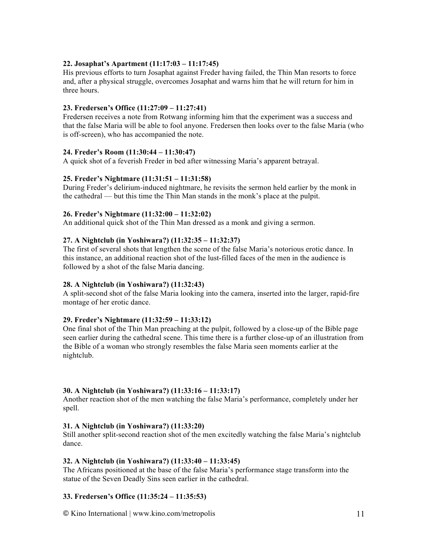## **22. Josaphat's Apartment (11:17:03 – 11:17:45)**

His previous efforts to turn Josaphat against Freder having failed, the Thin Man resorts to force and, after a physical struggle, overcomes Josaphat and warns him that he will return for him in three hours.

## **23. Fredersen's Office (11:27:09 – 11:27:41)**

Fredersen receives a note from Rotwang informing him that the experiment was a success and that the false Maria will be able to fool anyone. Fredersen then looks over to the false Maria (who is off-screen), who has accompanied the note.

## **24. Freder's Room (11:30:44 – 11:30:47)**

A quick shot of a feverish Freder in bed after witnessing Maria's apparent betrayal.

## **25. Freder's Nightmare (11:31:51 – 11:31:58)**

During Freder's delirium-induced nightmare, he revisits the sermon held earlier by the monk in the cathedral — but this time the Thin Man stands in the monk's place at the pulpit.

## **26. Freder's Nightmare (11:32:00 – 11:32:02)**

An additional quick shot of the Thin Man dressed as a monk and giving a sermon.

## **27. A Nightclub (in Yoshiwara?) (11:32:35 – 11:32:37)**

The first of several shots that lengthen the scene of the false Maria's notorious erotic dance. In this instance, an additional reaction shot of the lust-filled faces of the men in the audience is followed by a shot of the false Maria dancing.

## **28. A Nightclub (in Yoshiwara?) (11:32:43)**

A split-second shot of the false Maria looking into the camera, inserted into the larger, rapid-fire montage of her erotic dance.

## **29. Freder's Nightmare (11:32:59 – 11:33:12)**

One final shot of the Thin Man preaching at the pulpit, followed by a close-up of the Bible page seen earlier during the cathedral scene. This time there is a further close-up of an illustration from the Bible of a woman who strongly resembles the false Maria seen moments earlier at the nightclub.

## **30. A Nightclub (in Yoshiwara?) (11:33:16 – 11:33:17)**

Another reaction shot of the men watching the false Maria's performance, completely under her spell.

## **31. A Nightclub (in Yoshiwara?) (11:33:20)**

Still another split-second reaction shot of the men excitedly watching the false Maria's nightclub dance.

## **32. A Nightclub (in Yoshiwara?) (11:33:40 – 11:33:45)**

The Africans positioned at the base of the false Maria's performance stage transform into the statue of the Seven Deadly Sins seen earlier in the cathedral.

# **33. Fredersen's Office (11:35:24 – 11:35:53)**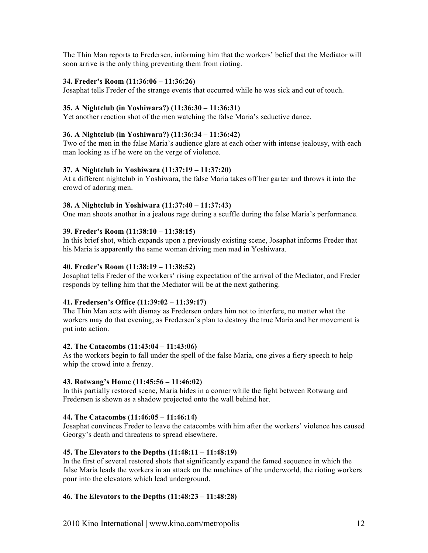The Thin Man reports to Fredersen, informing him that the workers' belief that the Mediator will soon arrive is the only thing preventing them from rioting.

## **34. Freder's Room (11:36:06 – 11:36:26)**

Josaphat tells Freder of the strange events that occurred while he was sick and out of touch.

#### **35. A Nightclub (in Yoshiwara?) (11:36:30 – 11:36:31)**

Yet another reaction shot of the men watching the false Maria's seductive dance.

#### **36. A Nightclub (in Yoshiwara?) (11:36:34 – 11:36:42)**

Two of the men in the false Maria's audience glare at each other with intense jealousy, with each man looking as if he were on the verge of violence.

#### **37. A Nightclub in Yoshiwara (11:37:19 – 11:37:20)**

At a different nightclub in Yoshiwara, the false Maria takes off her garter and throws it into the crowd of adoring men.

#### **38. A Nightclub in Yoshiwara (11:37:40 – 11:37:43)**

One man shoots another in a jealous rage during a scuffle during the false Maria's performance.

#### **39. Freder's Room (11:38:10 – 11:38:15)**

In this brief shot, which expands upon a previously existing scene, Josaphat informs Freder that his Maria is apparently the same woman driving men mad in Yoshiwara.

### **40. Freder's Room (11:38:19 – 11:38:52)**

Josaphat tells Freder of the workers' rising expectation of the arrival of the Mediator, and Freder responds by telling him that the Mediator will be at the next gathering.

#### **41. Fredersen's Office (11:39:02 – 11:39:17)**

The Thin Man acts with dismay as Fredersen orders him not to interfere, no matter what the workers may do that evening, as Fredersen's plan to destroy the true Maria and her movement is put into action.

#### **42. The Catacombs (11:43:04 – 11:43:06)**

As the workers begin to fall under the spell of the false Maria, one gives a fiery speech to help whip the crowd into a frenzy.

#### **43. Rotwang's Home (11:45:56 – 11:46:02)**

In this partially restored scene, Maria hides in a corner while the fight between Rotwang and Fredersen is shown as a shadow projected onto the wall behind her.

### **44. The Catacombs (11:46:05 – 11:46:14)**

Josaphat convinces Freder to leave the catacombs with him after the workers' violence has caused Georgy's death and threatens to spread elsewhere.

#### **45. The Elevators to the Depths (11:48:11 – 11:48:19)**

In the first of several restored shots that significantly expand the famed sequence in which the false Maria leads the workers in an attack on the machines of the underworld, the rioting workers pour into the elevators which lead underground.

## **46. The Elevators to the Depths (11:48:23 – 11:48:28)**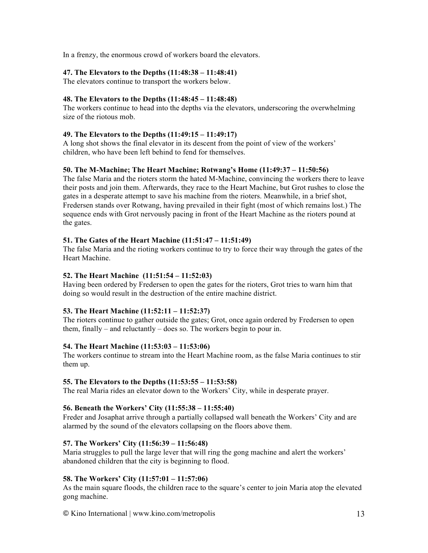In a frenzy, the enormous crowd of workers board the elevators.

## **47. The Elevators to the Depths (11:48:38 – 11:48:41)**

The elevators continue to transport the workers below.

## **48. The Elevators to the Depths (11:48:45 – 11:48:48)**

The workers continue to head into the depths via the elevators, underscoring the overwhelming size of the riotous mob.

## **49. The Elevators to the Depths (11:49:15 – 11:49:17)**

A long shot shows the final elevator in its descent from the point of view of the workers' children, who have been left behind to fend for themselves.

## **50. The M-Machine; The Heart Machine; Rotwang's Home (11:49:37 – 11:50:56)**

The false Maria and the rioters storm the hated M-Machine, convincing the workers there to leave their posts and join them. Afterwards, they race to the Heart Machine, but Grot rushes to close the gates in a desperate attempt to save his machine from the rioters. Meanwhile, in a brief shot, Fredersen stands over Rotwang, having prevailed in their fight (most of which remains lost.) The sequence ends with Grot nervously pacing in front of the Heart Machine as the rioters pound at the gates.

## **51. The Gates of the Heart Machine (11:51:47 – 11:51:49)**

The false Maria and the rioting workers continue to try to force their way through the gates of the Heart Machine.

## **52. The Heart Machine (11:51:54 – 11:52:03)**

Having been ordered by Fredersen to open the gates for the rioters, Grot tries to warn him that doing so would result in the destruction of the entire machine district.

## **53. The Heart Machine (11:52:11 – 11:52:37)**

The rioters continue to gather outside the gates; Grot, once again ordered by Fredersen to open them, finally – and reluctantly – does so. The workers begin to pour in.

## **54. The Heart Machine (11:53:03 – 11:53:06)**

The workers continue to stream into the Heart Machine room, as the false Maria continues to stir them up.

## **55. The Elevators to the Depths (11:53:55 – 11:53:58)**

The real Maria rides an elevator down to the Workers' City, while in desperate prayer.

## **56. Beneath the Workers' City (11:55:38 – 11:55:40)**

Freder and Josaphat arrive through a partially collapsed wall beneath the Workers' City and are alarmed by the sound of the elevators collapsing on the floors above them.

## **57. The Workers' City (11:56:39 – 11:56:48)**

Maria struggles to pull the large lever that will ring the gong machine and alert the workers' abandoned children that the city is beginning to flood.

## **58. The Workers' City (11:57:01 – 11:57:06)**

As the main square floods, the children race to the square's center to join Maria atop the elevated gong machine.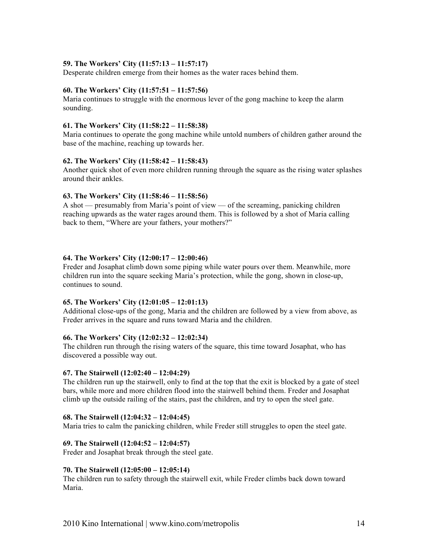## **59. The Workers' City (11:57:13 – 11:57:17)**

Desperate children emerge from their homes as the water races behind them.

#### **60. The Workers' City (11:57:51 – 11:57:56)**

Maria continues to struggle with the enormous lever of the gong machine to keep the alarm sounding.

#### **61. The Workers' City (11:58:22 – 11:58:38)**

Maria continues to operate the gong machine while untold numbers of children gather around the base of the machine, reaching up towards her.

#### **62. The Workers' City (11:58:42 – 11:58:43)**

Another quick shot of even more children running through the square as the rising water splashes around their ankles.

#### **63. The Workers' City (11:58:46 – 11:58:56)**

A shot — presumably from Maria's point of view — of the screaming, panicking children reaching upwards as the water rages around them. This is followed by a shot of Maria calling back to them, "Where are your fathers, your mothers?"

#### **64. The Workers' City (12:00:17 – 12:00:46)**

Freder and Josaphat climb down some piping while water pours over them. Meanwhile, more children run into the square seeking Maria's protection, while the gong, shown in close-up, continues to sound.

#### **65. The Workers' City (12:01:05 – 12:01:13)**

Additional close-ups of the gong, Maria and the children are followed by a view from above, as Freder arrives in the square and runs toward Maria and the children.

## **66. The Workers' City (12:02:32 – 12:02:34)**

The children run through the rising waters of the square, this time toward Josaphat, who has discovered a possible way out.

#### **67. The Stairwell (12:02:40 – 12:04:29)**

The children run up the stairwell, only to find at the top that the exit is blocked by a gate of steel bars, while more and more children flood into the stairwell behind them. Freder and Josaphat climb up the outside railing of the stairs, past the children, and try to open the steel gate.

## **68. The Stairwell (12:04:32 – 12:04:45)**

Maria tries to calm the panicking children, while Freder still struggles to open the steel gate.

## **69. The Stairwell (12:04:52 – 12:04:57)**

Freder and Josaphat break through the steel gate.

#### **70. The Stairwell (12:05:00 – 12:05:14)**

The children run to safety through the stairwell exit, while Freder climbs back down toward Maria.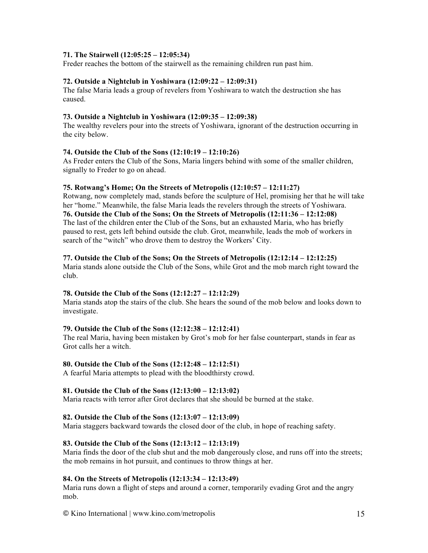## **71. The Stairwell (12:05:25 – 12:05:34)**

Freder reaches the bottom of the stairwell as the remaining children run past him.

## **72. Outside a Nightclub in Yoshiwara (12:09:22 – 12:09:31)**

The false Maria leads a group of revelers from Yoshiwara to watch the destruction she has caused.

## **73. Outside a Nightclub in Yoshiwara (12:09:35 – 12:09:38)**

The wealthy revelers pour into the streets of Yoshiwara, ignorant of the destruction occurring in the city below.

#### **74. Outside the Club of the Sons (12:10:19 – 12:10:26)**

As Freder enters the Club of the Sons, Maria lingers behind with some of the smaller children, signally to Freder to go on ahead.

#### **75. Rotwang's Home; On the Streets of Metropolis (12:10:57 – 12:11:27)**

Rotwang, now completely mad, stands before the sculpture of Hel, promising her that he will take her "home." Meanwhile, the false Maria leads the revelers through the streets of Yoshiwara. **76. Outside the Club of the Sons; On the Streets of Metropolis (12:11:36 – 12:12:08)** The last of the children enter the Club of the Sons, but an exhausted Maria, who has briefly paused to rest, gets left behind outside the club. Grot, meanwhile, leads the mob of workers in search of the "witch" who drove them to destroy the Workers' City.

#### **77. Outside the Club of the Sons; On the Streets of Metropolis (12:12:14 – 12:12:25)**

Maria stands alone outside the Club of the Sons, while Grot and the mob march right toward the club.

## **78. Outside the Club of the Sons (12:12:27 – 12:12:29)**

Maria stands atop the stairs of the club. She hears the sound of the mob below and looks down to investigate.

## **79. Outside the Club of the Sons (12:12:38 – 12:12:41)**

The real Maria, having been mistaken by Grot's mob for her false counterpart, stands in fear as Grot calls her a witch.

## **80. Outside the Club of the Sons (12:12:48 – 12:12:51)**

A fearful Maria attempts to plead with the bloodthirsty crowd.

## **81. Outside the Club of the Sons (12:13:00 – 12:13:02)**

Maria reacts with terror after Grot declares that she should be burned at the stake.

## **82. Outside the Club of the Sons (12:13:07 – 12:13:09)**

Maria staggers backward towards the closed door of the club, in hope of reaching safety.

## **83. Outside the Club of the Sons (12:13:12 – 12:13:19)**

Maria finds the door of the club shut and the mob dangerously close, and runs off into the streets; the mob remains in hot pursuit, and continues to throw things at her.

## **84. On the Streets of Metropolis (12:13:34 – 12:13:49)**

Maria runs down a flight of steps and around a corner, temporarily evading Grot and the angry mob.